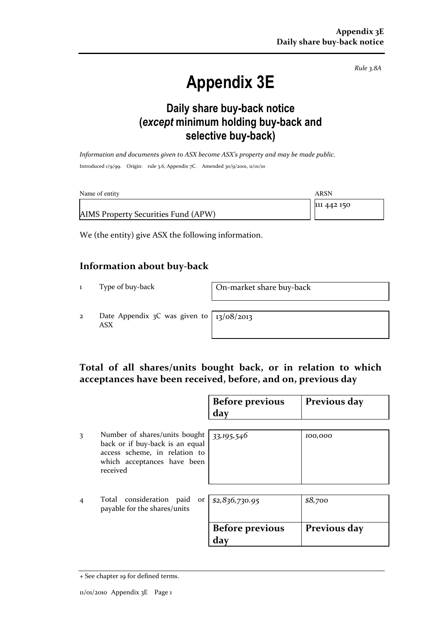Rule 3.8A

# Appendix 3E

### Daily share buy-back notice (except minimum holding buy-back and selective buy-back)

Information and documents given to ASX become ASX's property and may be made public. Introduced 1/9/99. Origin: rule 3.6, Appendix 7C. Amended 30/9/2001, 11/01/10

| Name of entity                      | ARSN        |
|-------------------------------------|-------------|
|                                     | 111 442 150 |
| AIMS Property Securities Fund (APW) |             |

We (the entity) give ASX the following information.

#### Information about buy-back

1 Type of buy-back On-market share buy-back

2 Date Appendix 3C was given to ASX

13/08/2013

#### Total of all shares/units bought back, or in relation to which acceptances have been received, before, and on, previous day

|   |                                                                                                                                              | <b>Before previous</b><br>day | Previous day |
|---|----------------------------------------------------------------------------------------------------------------------------------------------|-------------------------------|--------------|
| 3 | Number of shares/units bought<br>back or if buy-back is an equal<br>access scheme, in relation to<br>which acceptances have been<br>received | 33,195,546                    | 100,000      |
| 4 | Total consideration paid<br>payable for the shares/units                                                                                     | or $ $ \$2,836,730.95         | \$8,700      |
|   |                                                                                                                                              | <b>Before previous</b><br>day | Previous day |

<sup>+</sup> See chapter 19 for defined terms.